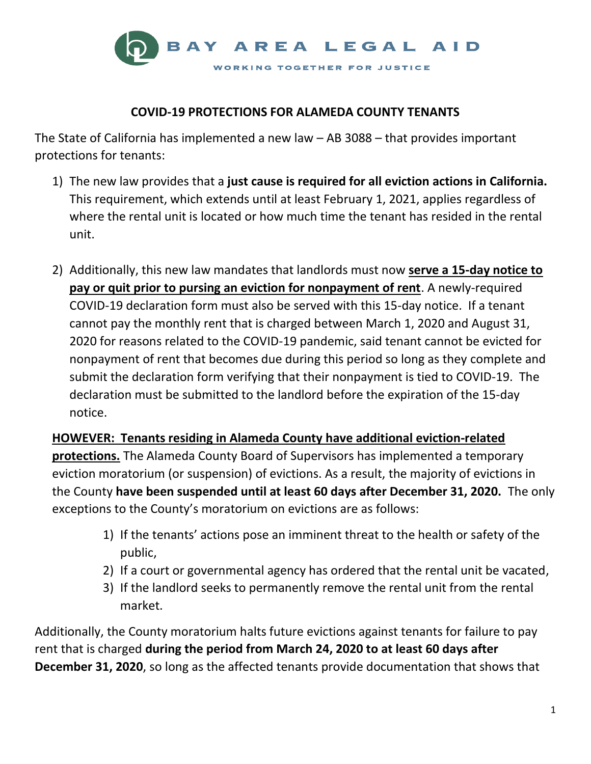

## **COVID-19 PROTECTIONS FOR ALAMEDA COUNTY TENANTS**

The State of California has implemented a new law – AB 3088 – that provides important protections for tenants:

- 1) The new law provides that a **just cause is required for all eviction actions in California.** This requirement, which extends until at least February 1, 2021, applies regardless of where the rental unit is located or how much time the tenant has resided in the rental unit.
- 2) Additionally, this new law mandates that landlords must now **serve a 15-day notice to pay or quit prior to pursing an eviction for nonpayment of rent**. A newly-required COVID-19 declaration form must also be served with this 15-day notice. If a tenant cannot pay the monthly rent that is charged between March 1, 2020 and August 31, 2020 for reasons related to the COVID-19 pandemic, said tenant cannot be evicted for nonpayment of rent that becomes due during this period so long as they complete and submit the declaration form verifying that their nonpayment is tied to COVID-19. The declaration must be submitted to the landlord before the expiration of the 15-day notice.

**HOWEVER: Tenants residing in Alameda County have additional eviction-related protections.** The Alameda County Board of Supervisors has implemented a temporary eviction moratorium (or suspension) of evictions. As a result, the majority of evictions in the County **have been suspended until at least 60 days after December 31, 2020.** The only exceptions to the County's moratorium on evictions are as follows:

- 1) If the tenants' actions pose an imminent threat to the health or safety of the public,
- 2) If a court or governmental agency has ordered that the rental unit be vacated,
- 3) If the landlord seeks to permanently remove the rental unit from the rental market.

Additionally, the County moratorium halts future evictions against tenants for failure to pay rent that is charged **during the period from March 24, 2020 to at least 60 days after December 31, 2020**, so long as the affected tenants provide documentation that shows that